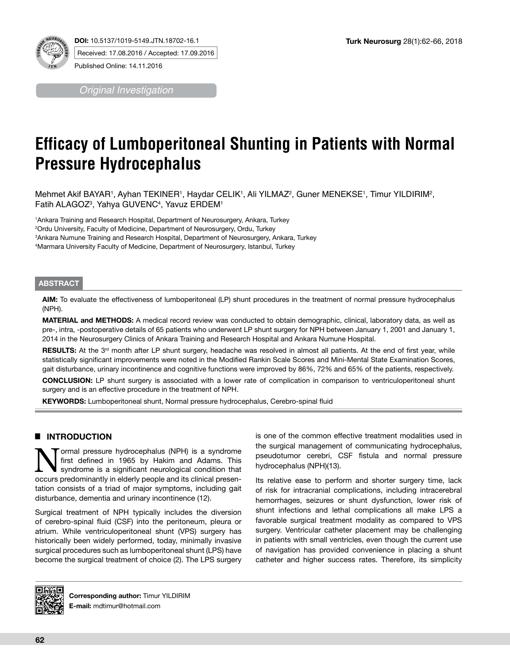

*Original Investigation*

# **Efficacy of Lumboperitoneal Shunting in Patients with Normal Pressure Hydrocephalus**

Mehmet Akif BAYAR1, Ayhan TEKINER1, Haydar CELIK1, Ali YILMAZ<sup>2</sup>, Guner MENEKSE1, Timur YILDIRIM<sup>2</sup>, Fatih ALAGOZ3 , Yahya GUVENC4 , Yavuz ERDEM1

 Ankara Training and Research Hospital, Department of Neurosurgery, Ankara, Turkey Ordu University, Faculty of Medicine, Department of Neurosurgery, Ordu, Turkey Ankara Numune Training and Research Hospital, Department of Neurosurgery, Ankara, Turkey Marmara University Faculty of Medicine, Department of Neurosurgery, Istanbul, Turkey

#### **ABSTRACT**

**AIm:** To evaluate the effectiveness of lumboperitoneal (LP) shunt procedures in the treatment of normal pressure hydrocephalus (NPH).

**MaterIal and Methods:** A medical record review was conducted to obtain demographic, clinical, laboratory data, as well as pre-, intra, -postoperative details of 65 patients who underwent LP shunt surgery for NPH between January 1, 2001 and January 1, 2014 in the Neurosurgery Clinics of Ankara Training and Research Hospital and Ankara Numune Hospital.

RESULTS: At the 3<sup>rd</sup> month after LP shunt surgery, headache was resolved in almost all patients. At the end of first year, while statistically significant improvements were noted in the Modified Rankin Scale Scores and Mini-Mental State Examination Scores, gait disturbance, urinary incontinence and cognitive functions were improved by 86%, 72% and 65% of the patients, respectively.

**ConclusIon:** LP shunt surgery is associated with a lower rate of complication in comparison to ventriculoperitoneal shunt surgery and is an effective procedure in the treatment of NPH.

**Keywords:** Lumboperitoneal shunt, Normal pressure hydrocephalus, Cerebro-spinal fluid

# █ **INTRODUCTION**

**Normal pressure hydrocephalus (NPH) is a syndrome** first defined in 1965 by Hakim and Adams. This syndrome is a significant neurological condition that first defined in 1965 by Hakim and Adams. This occurs predominantly in elderly people and its clinical presentation consists of a triad of major symptoms, including gait disturbance, dementia and urinary incontinence (12).

Surgical treatment of NPH typically includes the diversion of cerebro-spinal fluid (CSF) into the peritoneum, pleura or atrium. While ventriculoperitoneal shunt (VPS) surgery has historically been widely performed, today, minimally invasive surgical procedures such as lumboperitoneal shunt (LPS) have become the surgical treatment of choice (2). The LPS surgery is one of the common effective treatment modalities used in the surgical management of communicating hydrocephalus, pseudotumor cerebri, CSF fistula and normal pressure hydrocephalus (NPH)(13).

Its relative ease to perform and shorter surgery time, lack of risk for intracranial complications, including intracerebral hemorrhages, seizures or shunt dysfunction, lower risk of shunt infections and lethal complications all make LPS a favorable surgical treatment modality as compared to VPS surgery. Ventricular catheter placement may be challenging in patients with small ventricles, even though the current use of navigation has provided convenience in placing a shunt catheter and higher success rates. Therefore, its simplicity



**Corresponding author:** Timur YILDIRIM **E-mail:** mdtimur@hotmail.com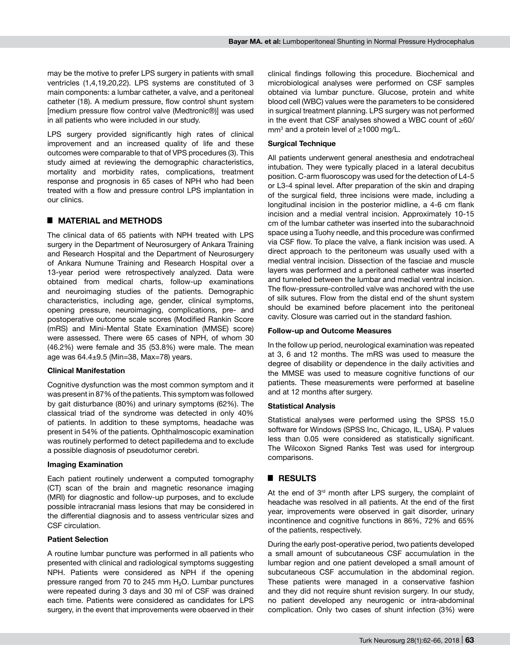may be the motive to prefer LPS surgery in patients with small ventricles (1,4,19,20,22). LPS systems are constituted of 3 main components: a lumbar catheter, a valve, and a peritoneal catheter (18). A medium pressure, flow control shunt system [medium pressure flow control valve (Medtronic®)] was used in all patients who were included in our study.

LPS surgery provided significantly high rates of clinical improvement and an increased quality of life and these outcomes were comparable to that of VPS procedures (3). This study aimed at reviewing the demographic characteristics, mortality and morbidity rates, complications, treatment response and prognosis in 65 cases of NPH who had been treated with a flow and pressure control LPS implantation in our clinics.

# █ **MATERIAL and METHODS**

The clinical data of 65 patients with NPH treated with LPS surgery in the Department of Neurosurgery of Ankara Training and Research Hospital and the Department of Neurosurgery of Ankara Numune Training and Research Hospital over a 13-year period were retrospectively analyzed. Data were obtained from medical charts, follow-up examinations and neuroimaging studies of the patients. Demographic characteristics, including age, gender, clinical symptoms, opening pressure, neuroimaging, complications, pre- and postoperative outcome scale scores (Modified Rankin Score (mRS) and Mini-Mental State Examination (MMSE) score) were assessed. There were 65 cases of NPH, of whom 30 (46.2%) were female and 35 (53.8%) were male. The mean age was 64.4±9.5 (Min=38, Max=78) years.

#### **Clinical Manifestation**

Cognitive dysfunction was the most common symptom and it was present in 87% of the patients. This symptom was followed by gait disturbance (80%) and urinary symptoms (62%). The classical triad of the syndrome was detected in only 40% of patients. In addition to these symptoms, headache was present in 54% of the patients. Ophthalmoscopic examination was routinely performed to detect papilledema and to exclude a possible diagnosis of pseudotumor cerebri.

#### **Imaging Examination**

Each patient routinely underwent a computed tomography (CT) scan of the brain and magnetic resonance imaging (MRI) for diagnostic and follow-up purposes, and to exclude possible intracranial mass lesions that may be considered in the differential diagnosis and to assess ventricular sizes and CSF circulation.

#### **Patient Selection**

A routine lumbar puncture was performed in all patients who presented with clinical and radiological symptoms suggesting NPH. Patients were considered as NPH if the opening pressure ranged from 70 to 245 mm H₂O. Lumbar punctures were repeated during 3 days and 30 ml of CSF was drained each time. Patients were considered as candidates for LPS surgery, in the event that improvements were observed in their clinical findings following this procedure. Biochemical and microbiological analyses were performed on CSF samples obtained via lumbar puncture. Glucose, protein and white blood cell (WBC) values were the parameters to be considered in surgical treatment planning. LPS surgery was not performed in the event that CSF analyses showed a WBC count of ≥60/ mm<sup>3</sup> and a protein level of ≥1000 mg/L.

#### **Surgical Technique**

All patients underwent general anesthesia and endotracheal intubation. They were typically placed in a lateral decubitus position. C-arm fluoroscopy was used for the detection of L4-5 or L3-4 spinal level. After preparation of the skin and draping of the surgical field, three incisions were made, including a longitudinal incision in the posterior midline, a 4-6 cm flank incision and a medial ventral incision. Approximately 10-15 cm of the lumbar catheter was inserted into the subarachnoid space using a Tuohy needle, and this procedure was confirmed via CSF flow. To place the valve, a flank incision was used. A direct approach to the peritoneum was usually used with a medial ventral incision. Dissection of the fasciae and muscle layers was performed and a peritoneal catheter was inserted and tunneled between the lumbar and medial ventral incision. The flow-pressure-controlled valve was anchored with the use of silk sutures. Flow from the distal end of the shunt system should be examined before placement into the peritoneal cavity. Closure was carried out in the standard fashion.

#### **Follow-up and Outcome Measures**

In the follow up period, neurological examination was repeated at 3, 6 and 12 months. The mRS was used to measure the degree of disability or dependence in the daily activities and the MMSE was used to measure cognitive functions of our patients. These measurements were performed at baseline and at 12 months after surgery.

#### **Statistical Analysis**

Statistical analyses were performed using the SPSS 15.0 software for Windows (SPSS Inc, Chicago, IL, USA). P values less than 0.05 were considered as statistically significant. The Wilcoxon Signed Ranks Test was used for intergroup comparisons.

#### █ **RESULTS**

At the end of 3<sup>rd</sup> month after LPS surgery, the complaint of headache was resolved in all patients. At the end of the first year, improvements were observed in gait disorder, urinary incontinence and cognitive functions in 86%, 72% and 65% of the patients, respectively.

During the early post-operative period, two patients developed a small amount of subcutaneous CSF accumulation in the lumbar region and one patient developed a small amount of subcutaneous CSF accumulation in the abdominal region. These patients were managed in a conservative fashion and they did not require shunt revision surgery. In our study, no patient developed any neurogenic or intra-abdominal complication. Only two cases of shunt infection (3%) were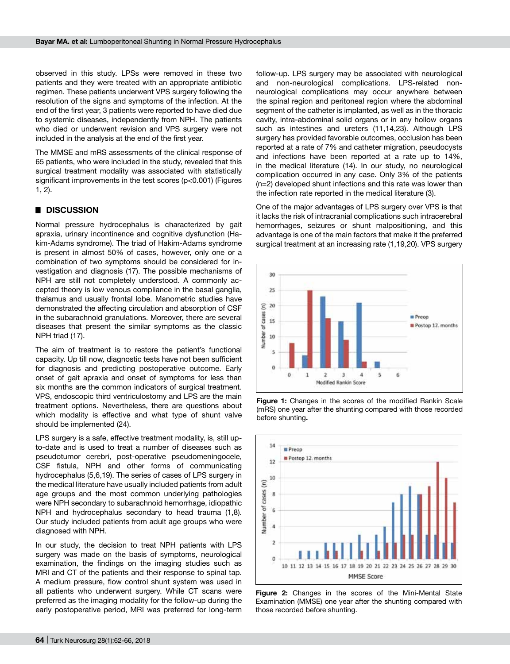observed in this study. LPSs were removed in these two patients and they were treated with an appropriate antibiotic regimen. These patients underwent VPS surgery following the resolution of the signs and symptoms of the infection. At the end of the first year, 3 patients were reported to have died due to systemic diseases, independently from NPH. The patients who died or underwent revision and VPS surgery were not included in the analysis at the end of the first year.

The MMSE and mRS assessments of the clinical response of 65 patients, who were included in the study, revealed that this surgical treatment modality was associated with statistically significant improvements in the test scores (p<0.001) (Figures 1, 2).

### █ **DISCUSSION**

Normal pressure hydrocephalus is characterized by gait apraxia, urinary incontinence and cognitive dysfunction (Hakim-Adams syndrome). The triad of Hakim-Adams syndrome is present in almost 50% of cases, however, only one or a combination of two symptoms should be considered for investigation and diagnosis (17). The possible mechanisms of NPH are still not completely understood. A commonly accepted theory is low venous compliance in the basal ganglia, thalamus and usually frontal lobe. Manometric studies have demonstrated the affecting circulation and absorption of CSF in the subarachnoid granulations. Moreover, there are several diseases that present the similar symptoms as the classic NPH triad (17).

The aim of treatment is to restore the patient's functional capacity. Up till now, diagnostic tests have not been sufficient for diagnosis and predicting postoperative outcome. Early onset of gait apraxia and onset of symptoms for less than six months are the common indicators of surgical treatment. VPS, endoscopic third ventriculostomy and LPS are the main treatment options. Nevertheless, there are questions about which modality is effective and what type of shunt valve should be implemented (24).

LPS surgery is a safe, effective treatment modality, is, still upto-date and is used to treat a number of diseases such as pseudotumor cerebri, post-operative pseudomeningocele, CSF fistula, NPH and other forms of communicating hydrocephalus (5,6,19). The series of cases of LPS surgery in the medical literature have usually included patients from adult age groups and the most common underlying pathologies were NPH secondary to subarachnoid hemorrhage, idiopathic NPH and hydrocephalus secondary to head trauma (1,8). Our study included patients from adult age groups who were diagnosed with NPH.

In our study, the decision to treat NPH patients with LPS surgery was made on the basis of symptoms, neurological examination, the findings on the imaging studies such as MRI and CT of the patients and their response to spinal tap. A medium pressure, flow control shunt system was used in all patients who underwent surgery. While CT scans were preferred as the imaging modality for the follow-up during the early postoperative period, MRI was preferred for long-term

follow-up. LPS surgery may be associated with neurological and non-neurological complications. LPS-related nonneurological complications may occur anywhere between the spinal region and peritoneal region where the abdominal segment of the catheter is implanted, as well as in the thoracic cavity, intra-abdominal solid organs or in any hollow organs such as intestines and ureters (11,14,23). Although LPS surgery has provided favorable outcomes, occlusion has been reported at a rate of 7% and catheter migration, pseudocysts and infections have been reported at a rate up to 14%, in the medical literature (14). In our study, no neurological complication occurred in any case. Only 3% of the patients (n=2) developed shunt infections and this rate was lower than the infection rate reported in the medical literature (3).

One of the major advantages of LPS surgery over VPS is that it lacks the risk of intracranial complications such intracerebral hemorrhages, seizures or shunt malpositioning, and this advantage is one of the main factors that make it the preferred surgical treatment at an increasing rate (1,19,20). VPS surgery







**Figure 2:** Changes in the scores of the Mini-Mental State Examination (MMSE) one year after the shunting compared with those recorded before shunting.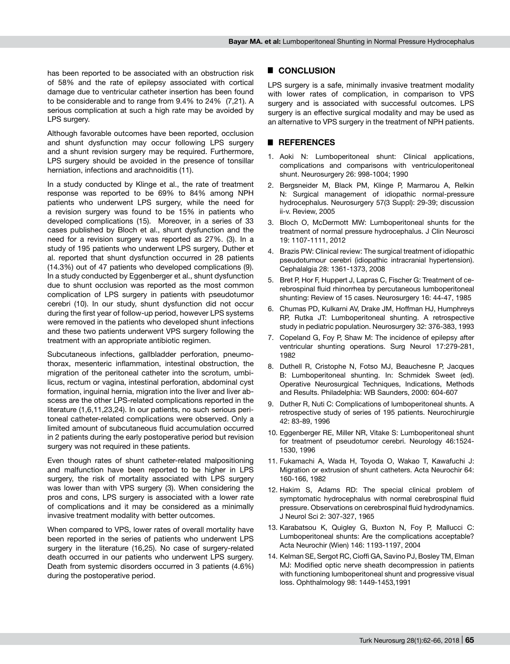has been reported to be associated with an obstruction risk of 58% and the rate of epilepsy associated with cortical damage due to ventricular catheter insertion has been found to be considerable and to range from 9.4% to 24% (7,21). A serious complication at such a high rate may be avoided by LPS surgery.

Although favorable outcomes have been reported, occlusion and shunt dysfunction may occur following LPS surgery and a shunt revision surgery may be required. Furthermore, LPS surgery should be avoided in the presence of tonsillar herniation, infections and arachnoiditis (11).

In a study conducted by Klinge et al., the rate of treatment response was reported to be 69% to 84% among NPH patients who underwent LPS surgery, while the need for a revision surgery was found to be 15% in patients who developed complications (15). Moreover, in a series of 33 cases published by Bloch et al., shunt dysfunction and the need for a revision surgery was reported as 27%. (3). In a study of 195 patients who underwent LPS surgery, Duther et al. reported that shunt dysfunction occurred in 28 patients (14.3%) out of 47 patients who developed complications (9). In a study conducted by Eggenberger et al., shunt dysfunction due to shunt occlusion was reported as the most common complication of LPS surgery in patients with pseudotumor cerebri (10). In our study, shunt dysfunction did not occur during the first year of follow-up period, however LPS systems were removed in the patients who developed shunt infections and these two patients underwent VPS surgery following the treatment with an appropriate antibiotic regimen.

Subcutaneous infections, gallbladder perforation, pneumothorax, mesenteric inflammation, intestinal obstruction, the migration of the peritoneal catheter into the scrotum, umbilicus, rectum or vagina, intestinal perforation, abdominal cyst formation, inguinal hernia, migration into the liver and liver abscess are the other LPS-related complications reported in the literature (1,6,11,23,24). In our patients, no such serious peritoneal catheter-related complications were observed. Only a limited amount of subcutaneous fluid accumulation occurred in 2 patients during the early postoperative period but revision surgery was not required in these patients.

Even though rates of shunt catheter-related malpositioning and malfunction have been reported to be higher in LPS surgery, the risk of mortality associated with LPS surgery was lower than with VPS surgery (3). When considering the pros and cons, LPS surgery is associated with a lower rate of complications and it may be considered as a minimally invasive treatment modality with better outcomes.

When compared to VPS, lower rates of overall mortality have been reported in the series of patients who underwent LPS surgery in the literature (16,25). No case of surgery-related death occurred in our patients who underwent LPS surgery. Death from systemic disorders occurred in 3 patients (4.6%) during the postoperative period.

## █ **CONCLUSION**

LPS surgery is a safe, minimally invasive treatment modality with lower rates of complication, in comparison to VPS surgery and is associated with successful outcomes. LPS surgery is an effective surgical modality and may be used as an alternative to VPS surgery in the treatment of NPH patients.

## █ **REFERENCES**

- 1. Aoki N: Lumboperitoneal shunt: Clinical applications, complications and comparisons with ventriculoperitoneal shunt. Neurosurgery 26: 998-1004; 1990
- 2. Bergsneider M, Black PM, Klinge P, Marmarou A, Relkin N: Surgical management of idiopathic normal-pressure hydrocephalus. Neurosurgery 57(3 Suppl): 29-39; discussion ii-v. Review, 2005
- 3. Bloch O, McDermott MW: Lumboperitoneal shunts for the treatment of normal pressure hydrocephalus. J Clin Neurosci 19: 1107-1111, 2012
- 4. Brazis PW: Clinical review: The surgical treatment of idiopathic pseudotumour cerebri (idiopathic intracranial hypertension). Cephalalgia 28: 1361-1373, 2008
- 5. Bret P, Hor F, Huppert J, Lapras C, Fischer G: Treatment of cerebrospinal fluid rhinorrhea by percutaneous lumboperitoneal shunting: Review of 15 cases. Neurosurgery 16: 44-47, 1985
- 6. Chumas PD, Kulkarni AV, Drake JM, Hoffman HJ, Humphreys RP, Rutka JT: Lumboperitoneal shunting. A retrospective study in pediatric population. Neurosurgery 32: 376-383, 1993
- 7. Copeland G, Foy P, Shaw M: The incidence of epilepsy after ventricular shunting operations. Surg Neurol 17:279-281, 1982
- 8. Duthell R, Cristophe N, Fotso MJ, Beauchesne P, Jacques B: Lumboperitoneal shunting. In: Schmidek Sweet (ed). Operative Neurosurgical Techniques, Indications, Methods and Results. Philadelphia: WB Saunders, 2000: 604-607
- 9. Duther R, Nuti C: Complications of lumboperitoneal shunts. A retrospective study of series of 195 patients. Neurochirurgie 42: 83-89, 1996
- 10. Eggenberger RE, Miller NR, Vitake S: Lumboperitoneal shunt for treatment of pseudotumor cerebri. Neurology 46:1524- 1530, 1996
- 11. Fukamachi A, Wada H, Toyoda O, Wakao T, Kawafuchi J: Migration or extrusion of shunt catheters. Acta Neurochir 64: 160-166, 1982
- 12. Hakim S, Adams RD: The special clinical problem of symptomatic hydrocephalus with normal cerebrospinal fluid pressure. Observations on cerebrospinal fluid hydrodynamics. J Neurol Sci 2: 307-327, 1965
- 13. Karabatsou K, Quigley G, Buxton N, Foy P, Mallucci C: Lumboperitoneal shunts: Are the complications acceptable? Acta Neurochir (Wien) 146: 1193-1197, 2004
- 14. Kelman SE, Sergot RC, Cioffi GA, Savino PJ, Bosley TM, Elman MJ: Modified optic nerve sheath decompression in patients with functioning lumboperitoneal shunt and progressive visual loss. Ophthalmology 98: 1449-1453,1991